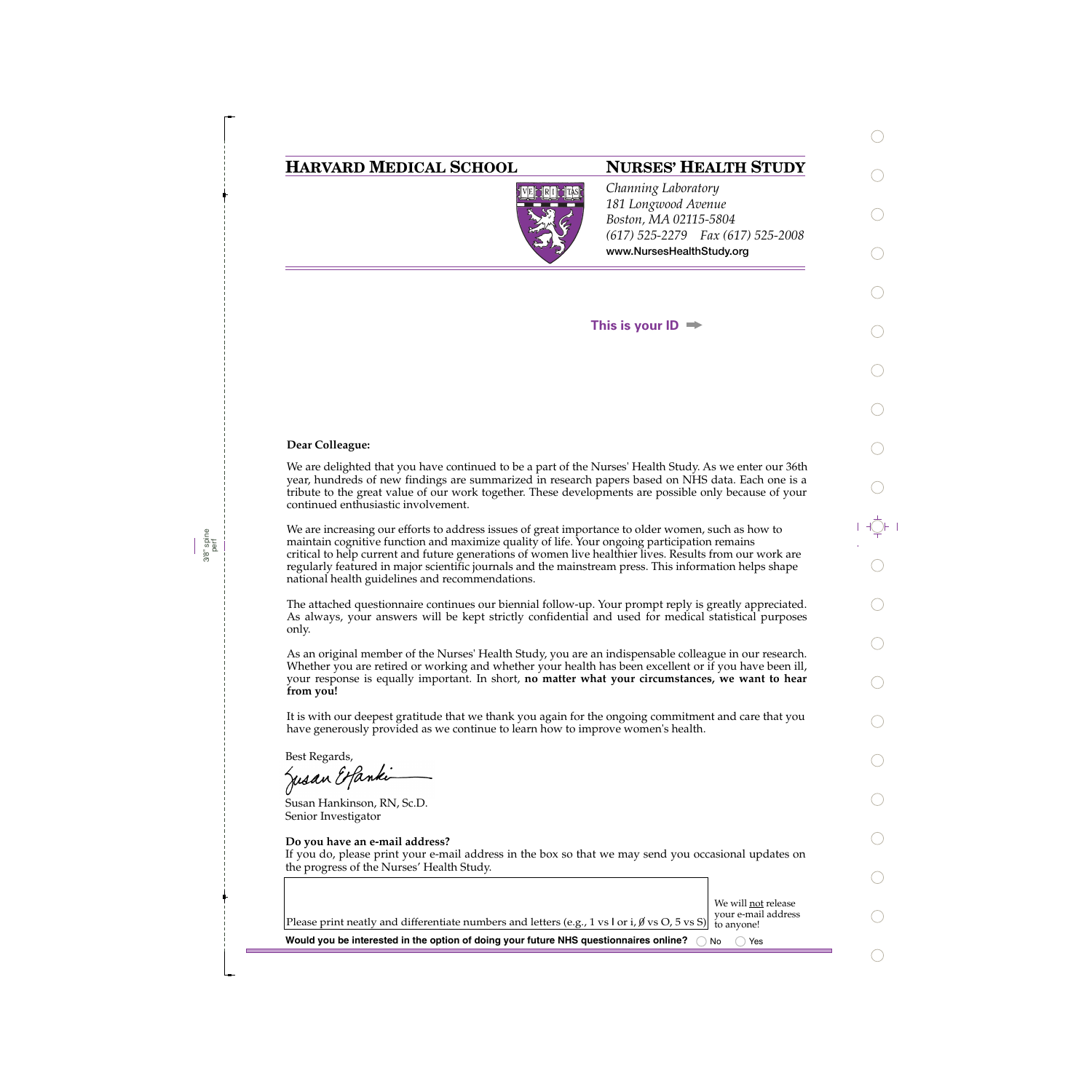## **HARVARD MEDICAL SCHOOL NURSES' HEALTH STUDY**



*Channing Laboratory 181 Longwood Avenue Boston, MA 02115-5804 (617) 525-2279 Fax (617) 525-2008*  www.NursesHealthStudy.org

### **This is your ID**

#### **Dear Colleague:**

We are delighted that you have continued to be a part of the Nurses' Health Study. As we enter our 36th year, hundreds of new findings are summarized in research papers based on NHS data. Each one is a tribute to the great value of our work together. These developments are possible only because of your continued enthusiastic involvement.

We are increasing our efforts to address issues of great importance to older women, such as how to maintain cognitive function and maximize quality of life. Your ongoing participation remains critical to help current and future generations of women live healthier lives. Results from our work are regularly featured in major scientific journals and the mainstream press. This information helps shape national health guidelines and recommendations.

The attached questionnaire continues our biennial follow-up. Your prompt reply is greatly appreciated. As always, your answers will be kept strictly confidential and used for medical statistical purposes only.

As an original member of the Nurses' Health Study, you are an indispensable colleague in our research. Whether you are retired or working and whether your health has been excellent or if you have been ill, your response is equally important. In short, **no matter what your circumstances, we want to hear from you!**

It is with our deepest gratitude that we thank you again for the ongoing commitment and care that you have generously provided as we continue to learn how to improve women's health.

Best Regards,

Jusan Etanki

Susan Hankinson, RN, Sc.D. Senior Investigator

#### **Do you have an e-mail address?**

If you do, please print your e-mail address in the box so that we may send you occasional updates on the progress of the Nurses' Health Study.

We will not release<br>your e-mail address

Please print neatly and differentiate numbers and letters (e.g., 1 vs l or i,  $\emptyset$  vs O,  $\frac{5 \text{ vs S}}{1 \text{ to anyone}}$ !

**Would you be interested in the option of doing your future NHS questionnaires online?**  No Yes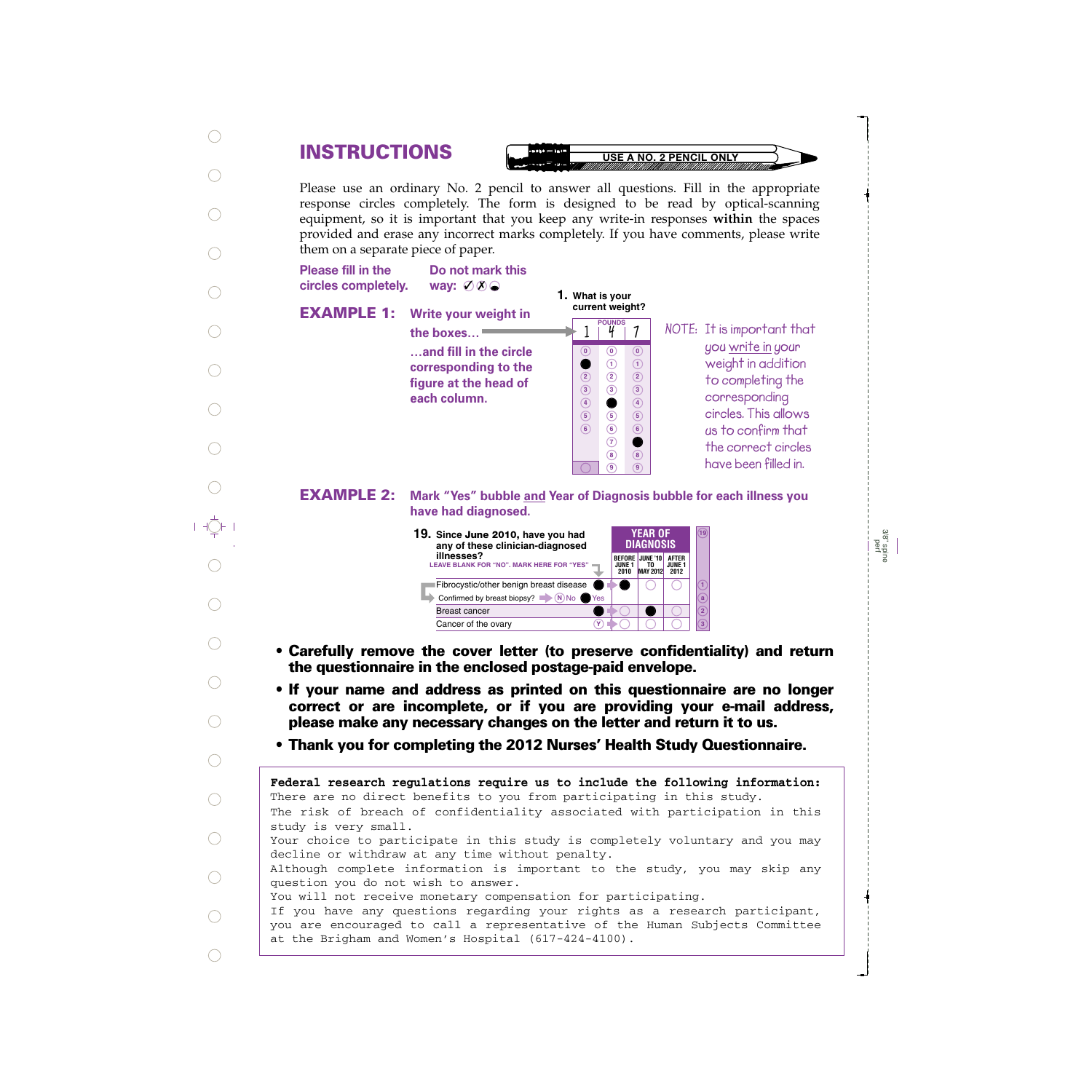# INSTRUCTIONS

**USE A NO. 2 PENCIL ONLY**

Please use an ordinary No. 2 pencil to answer all questions. Fill in the appropriate response circles completely. The form is designed to be read by optical-scanning equipment, so it is important that you keep any write-in responses **within** the spaces provided and erase any incorrect marks completely. If you have comments, please write them on a separate piece of paper.

**Please fill in the** circles completely. **Do not mark this way:** ⊘ **%** ●

**1. What is your current weight?**

EXAMPLE 1: **Write your weight in** 

| $\cdots$               |  |
|------------------------|--|
| the boxes              |  |
|                        |  |
| and fill in the circle |  |
| corresponding to the   |  |
| figure at the head of  |  |
| each column.           |  |
|                        |  |

**0 1 2 1**<br><sup>1</sup><sup>1</sup> **1 2 0 0 1 2**

**7 8 9**

> **8 9**

**NOTE: POUNDS It is important that you write in your weight in addition to completing the corresponding circles. This allows us to confirm that the correct circles have been filled in.**

**EXAMPLE 2:** Mark "Yes" bubble <u>and</u> Year of Diagnosis bubble for each illness you **have had diagnosed.**



- Carefully remove the cover letter (to preserve confidentiality) and return the questionnaire in the enclosed postage-paid envelope.
- If your name and address as printed on this questionnaire are no longer correct or are incomplete, or if you are providing your e-mail address, please make any necessary changes on the letter and return it to us.
- Thank you for completing the 2012 Nurses' Health Study Questionnaire.

The risk of breach of confidentiality associated with participation in this study is very small. Your choice to participate in this study is completely voluntary and you may decline or withdraw at any time without penalty. Although complete information is important to the study, you may skip any question you do not wish to answer. You will not receive monetary compensation for participating. If you have any questions regarding your rights as a research participant, you are encouraged to call a representative of the Human Subjects Committee at the Brigham and Women's Hospital (617-424-4100). **Federal research regulations require us to include the following information:** There are no direct benefits to you from participating in this study.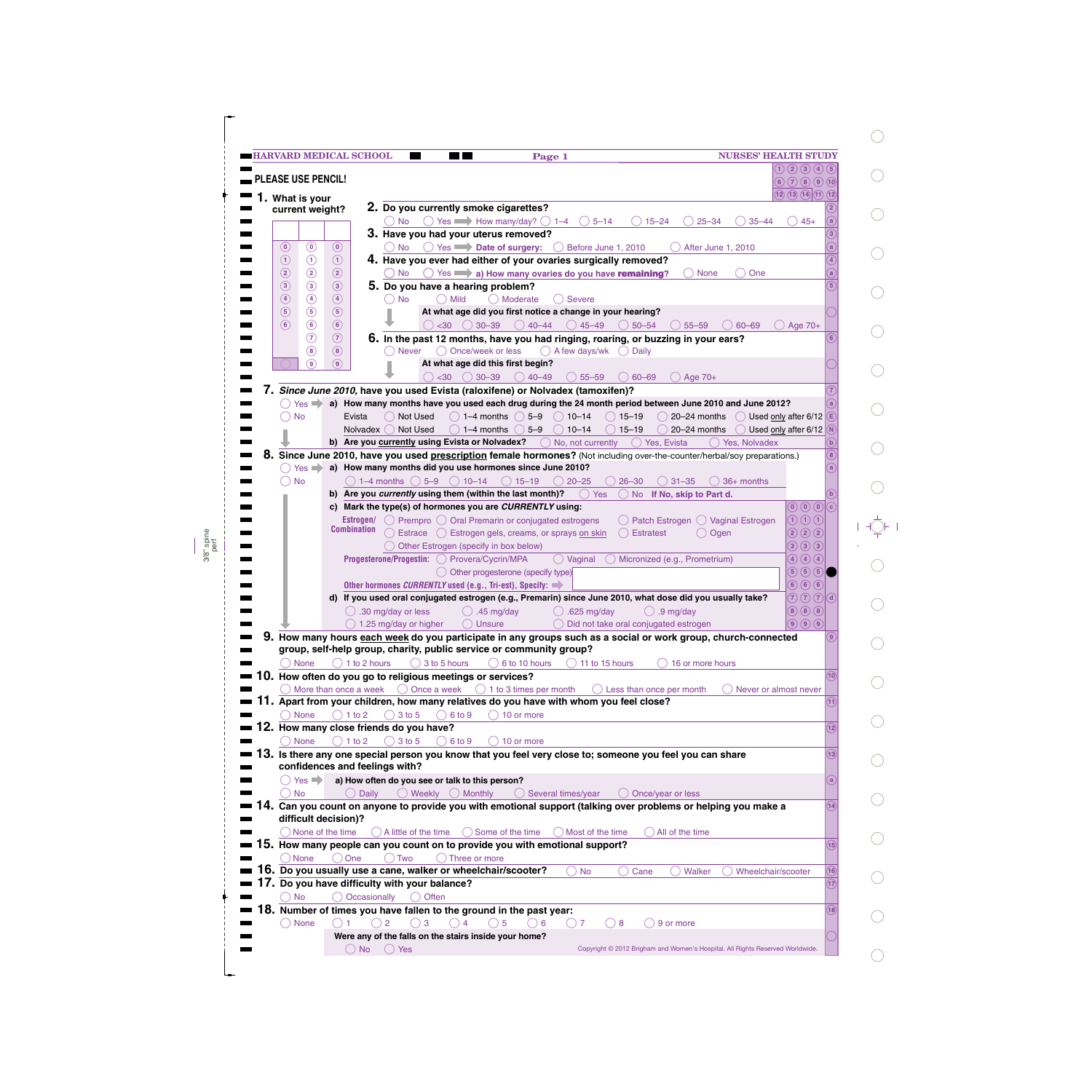|                                  | <b>NURSES' HEALTH STUDY</b><br><b>HARVARD MEDICAL SCHOOL</b><br>a ka<br>Page 1                                                          |                                                                                                                                                                                                                                                                                                                                         |
|----------------------------------|-----------------------------------------------------------------------------------------------------------------------------------------|-----------------------------------------------------------------------------------------------------------------------------------------------------------------------------------------------------------------------------------------------------------------------------------------------------------------------------------------|
|                                  |                                                                                                                                         | $1)$ (2) (3) (4) (5)                                                                                                                                                                                                                                                                                                                    |
| <b>PLEASE USE PENCIL!</b>        |                                                                                                                                         | 6(7)(8)(9)(10)                                                                                                                                                                                                                                                                                                                          |
| 1. What is your                  |                                                                                                                                         | $\boxed{12}$ $\boxed{13}$ $\boxed{14}$ $\boxed{11}$ $\boxed{12}$                                                                                                                                                                                                                                                                        |
| current weight?                  | 2. Do you currently smoke cigarettes?                                                                                                   |                                                                                                                                                                                                                                                                                                                                         |
|                                  | $\circ$ Yes $\rightarrow$ How many/day? $\circ$ 1–4<br>$\bigcirc$ 5-14<br>$15 - 24$<br>$25 - 34$<br>$35 - 44$<br>No                     | $45+$                                                                                                                                                                                                                                                                                                                                   |
|                                  | 3. Have you had your uterus removed?                                                                                                    |                                                                                                                                                                                                                                                                                                                                         |
| $\circledcirc$<br>$\circledcirc$ | $\circledcirc$<br>◯ No ◯ Yes Date of surgery: ◯ Before June 1, 2010<br>After June 1, 2010                                               |                                                                                                                                                                                                                                                                                                                                         |
| $\odot$<br>$\odot$               | $\odot$<br>4. Have you ever had either of your ovaries surgically removed?                                                              |                                                                                                                                                                                                                                                                                                                                         |
| $\circled{2}$<br>$\circled{2}$   | $\circled{2}$<br>$\bigcirc$ No $\bigcirc$ Yes $\longrightarrow$ a) How many ovaries do you have remaining?<br>One<br>None               |                                                                                                                                                                                                                                                                                                                                         |
| $\circled{3}$<br>$\circled{3}$   | $\circled{3}$<br>5. Do you have a hearing problem?                                                                                      |                                                                                                                                                                                                                                                                                                                                         |
| $\circled{4}$<br>$\bigcirc$      | $\circled{4}$<br>$\bigcirc$ No<br>$\bigcirc$ Mild<br>$\bigcirc$ Moderate<br>() Severe                                                   |                                                                                                                                                                                                                                                                                                                                         |
| $\circled{5}$<br>$\circled{5}$   | $\circled{5}$<br>At what age did you first notice a change in your hearing?                                                             |                                                                                                                                                                                                                                                                                                                                         |
| $\circled{6}$<br>$\circled{6}$   | $\circled{6}$<br>$\bigcirc$ <30 $\bigcirc$ 30-39 $\bigcirc$ 40-44 $\bigcirc$ 45-49<br>$\bigcirc$ 50–54<br>$() 55 - 59$<br>$() 60 - 69$  | $\bigcirc$ Age 70+                                                                                                                                                                                                                                                                                                                      |
| $\circled{7}$                    | $\odot$<br>6. In the past 12 months, have you had ringing, roaring, or buzzing in your ears?                                            |                                                                                                                                                                                                                                                                                                                                         |
| $\circled{8}$<br>$\circledcirc$  | $\circled{8}$<br>$\bigcirc$ Never<br>◯ Once/week or less<br>$\bigcirc$ A few days/wk $\bigcirc$ Daily                                   |                                                                                                                                                                                                                                                                                                                                         |
|                                  | (9)<br>At what age did this first begin?<br>$\bigcirc$ <30 $\bigcirc$ 30-39<br>$() 40-49$<br>$() 55 - 59$<br>$() 60 - 69$               |                                                                                                                                                                                                                                                                                                                                         |
| 7.                               | $)$ Age 70+<br>Since June 2010, have you used Evista (raloxifene) or Nolvadex (tamoxifen)?                                              |                                                                                                                                                                                                                                                                                                                                         |
|                                  | ○ Yes → a) How many months have you used each drug during the 24 month period between June 2010 and June 2012?                          |                                                                                                                                                                                                                                                                                                                                         |
| $\bigcirc$ No                    | Not Used<br>$\bigcirc$ 1–4 months $\bigcirc$ 5–9<br>$\bigcirc$ 10–14<br>$\bigcirc$ 15-19<br>20-24 months Used only after 6/12<br>Evista |                                                                                                                                                                                                                                                                                                                                         |
|                                  | Nolvadex Not Used<br>$\bigcirc$ 15-19<br>$5 - 9$<br>() 10–14<br>20-24 months<br>$( ) 1-4$ months<br>Used only after 6/12                |                                                                                                                                                                                                                                                                                                                                         |
|                                  | b) Are you currently using Evista or Nolvadex? $\bigcirc$ No, not currently<br>$\bigcirc$ Yes, Evista<br>() Yes, Nolvadex               |                                                                                                                                                                                                                                                                                                                                         |
|                                  | Since June 2010, have you used prescription female hormones? (Not including over-the-counter/herbal/soy preparations.)                  |                                                                                                                                                                                                                                                                                                                                         |
|                                  | $\bigcirc$ Yes $\blacktriangleright$ a) How many months did you use hormones since June 2010?                                           |                                                                                                                                                                                                                                                                                                                                         |
| $\bigcirc$ No                    | $\bigcirc$ 1–4 months $\bigcirc$ 5–9 $\bigcirc$ 10–14 $\bigcirc$ 15–19<br>$\bigcirc$ 20-25<br>$26 - 30$<br>$() 31 - 35$<br>$36+$ months |                                                                                                                                                                                                                                                                                                                                         |
|                                  | $\bigcirc$ Yes<br>b) Are you currently using them (within the last month)?<br>$\bigcirc$ No If No, skip to Part d.                      |                                                                                                                                                                                                                                                                                                                                         |
|                                  | c) Mark the type(s) of hormones you are CURRENTLY using:                                                                                | $\circledcirc\circledcirc\circ$                                                                                                                                                                                                                                                                                                         |
|                                  | Estrogen/<br>$\bigcirc$ Prempro $\bigcirc$ Oral Premarin or conjugated estrogens<br>Patch Estrogen Vaginal Estrogen                     | $\mathfrak{D} \mathfrak{D} \mathfrak{D}$                                                                                                                                                                                                                                                                                                |
|                                  | <b>Combination</b><br>Estrace C Estrogen gels, creams, or sprays on skin<br><b>Estratest</b><br>$\bigcirc$ Ogen                         | $2)$ $2)$ $2)$                                                                                                                                                                                                                                                                                                                          |
|                                  | O Other Estrogen (specify in box below)                                                                                                 | $\bigcirc$ $\bigcirc$ $\bigcirc$                                                                                                                                                                                                                                                                                                        |
|                                  | $\bigcirc$ Vaginal<br>Progesterone/Progestin: O Provera/Cycrin/MPA<br>O Micronized (e.g., Prometrium)                                   | $\bigcirc$ $\bigcirc$ $\bigcirc$ $\bigcirc$                                                                                                                                                                                                                                                                                             |
|                                  | $\bigcirc$ Other progesterone (specify type)                                                                                            | 5(5(5)                                                                                                                                                                                                                                                                                                                                  |
|                                  | Other hormones CURRENTLY used (e.g., Tri-est), Specify:                                                                                 | 666                                                                                                                                                                                                                                                                                                                                     |
|                                  | d) If you used oral conjugated estrogen (e.g., Premarin) since June 2010, what dose did you usually take?                               | $\mathcal{D}\mathcal{D}\mathcal{D} \mathbf{0}\rangle$                                                                                                                                                                                                                                                                                   |
|                                  | $\bigcirc$ .30 mg/day or less $\bigcirc$ .45 mg/day $\bigcirc$ .625 mg/day $\bigcirc$ .9 mg/day                                         | $\begin{picture}(150,15) \put(0,0){\line(1,0){155}} \put(150,0){\line(1,0){155}} \put(150,0){\line(1,0){155}} \put(150,0){\line(1,0){155}} \put(150,0){\line(1,0){155}} \put(150,0){\line(1,0){155}} \put(150,0){\line(1,0){155}} \put(150,0){\line(1,0){155}} \put(150,0){\line(1,0){155}} \put(150,0){\line(1,0){155}} \put(150,0){\$ |
|                                  | $\bigcirc$ 1.25 mg/day or higher<br>( )<br>Unsure<br>Did not take oral conjugated estrogen                                              | $\left( 9\right)  \left( 9\right)$                                                                                                                                                                                                                                                                                                      |
| 9.                               | How many hours each week do you participate in any groups such as a social or work group, church-connected                              |                                                                                                                                                                                                                                                                                                                                         |
|                                  | group, self-help group, charity, public service or community group?                                                                     |                                                                                                                                                                                                                                                                                                                                         |
| <b>None</b>                      | $\bigcap$ 1 to 2 hours<br>$\bigcirc$ 3 to 5 hours<br>$\bigcirc$ 6 to 10 hours<br>11 to 15 hours<br>16 or more hours                     |                                                                                                                                                                                                                                                                                                                                         |
|                                  | 10. How often do you go to religious meetings or services?                                                                              |                                                                                                                                                                                                                                                                                                                                         |
|                                  | More than once a week $\bigcirc$ Once a week<br>$\bigcirc$ 1 to 3 times per month<br>Less than once per month<br>Never or almost never  |                                                                                                                                                                                                                                                                                                                                         |
|                                  | ${\bf 11.}$ Apart from your children, how many relatives do you have with whom you feel close?                                          |                                                                                                                                                                                                                                                                                                                                         |
|                                  | $\bigcirc$ 1 to 2<br>3 to 5<br>$\bigcirc$ 6 to 9<br>10 or more                                                                          |                                                                                                                                                                                                                                                                                                                                         |
| <b>None</b>                      |                                                                                                                                         | $\overline{12}$                                                                                                                                                                                                                                                                                                                         |
|                                  | 12. How many close friends do you have?                                                                                                 |                                                                                                                                                                                                                                                                                                                                         |
| <b>None</b>                      | $\bigcap$ 1 to 2<br>3 to 5<br>6 to 9<br>$($ )<br>10 or more                                                                             |                                                                                                                                                                                                                                                                                                                                         |
|                                  | $13.$ Is there any one special person you know that you feel very close to; someone you feel you can share                              | 13                                                                                                                                                                                                                                                                                                                                      |
|                                  | confidences and feelings with?                                                                                                          |                                                                                                                                                                                                                                                                                                                                         |
| $Yes \rightarrow$                | a) How often do you see or talk to this person?                                                                                         | $\mathbf{a}$                                                                                                                                                                                                                                                                                                                            |
| <b>No</b>                        | Daily<br>◯ Weekly ◯ Monthly<br>Several times/year<br>Once/year or less                                                                  |                                                                                                                                                                                                                                                                                                                                         |
|                                  | ${\bf 14.}$ Can you count on anyone to provide you with emotional support (talking over problems or helping you make a                  |                                                                                                                                                                                                                                                                                                                                         |
| difficult decision)?             |                                                                                                                                         |                                                                                                                                                                                                                                                                                                                                         |
| () None of the time              | $\bigcap$ A little of the time<br>◯ Some of the time<br>() Most of the time<br>All of the time                                          |                                                                                                                                                                                                                                                                                                                                         |
|                                  | 15. How many people can you count on to provide you with emotional support?                                                             | 15                                                                                                                                                                                                                                                                                                                                      |
| ○ None                           | One<br>$)$ Two<br>() Three or more                                                                                                      |                                                                                                                                                                                                                                                                                                                                         |
|                                  | 16. Do you usually use a cane, walker or wheelchair/scooter?<br><b>No</b><br>Cane<br>Walker<br>Wheelchair/scooter                       |                                                                                                                                                                                                                                                                                                                                         |
|                                  | Do you have difficulty with your balance?<br>$($ )                                                                                      |                                                                                                                                                                                                                                                                                                                                         |
| <b>No</b>                        | Occasionally<br><b>Often</b>                                                                                                            |                                                                                                                                                                                                                                                                                                                                         |
| $\rightarrow$                    | 18. Number of times you have fallen to the ground in the past year:<br>$\overline{2}$<br>3<br>-5<br>6<br>$\overline{4}$<br>7            |                                                                                                                                                                                                                                                                                                                                         |
| None                             | ( ) 8<br>9 or more<br>Were any of the falls on the stairs inside your home?                                                             |                                                                                                                                                                                                                                                                                                                                         |

3/8" spine perf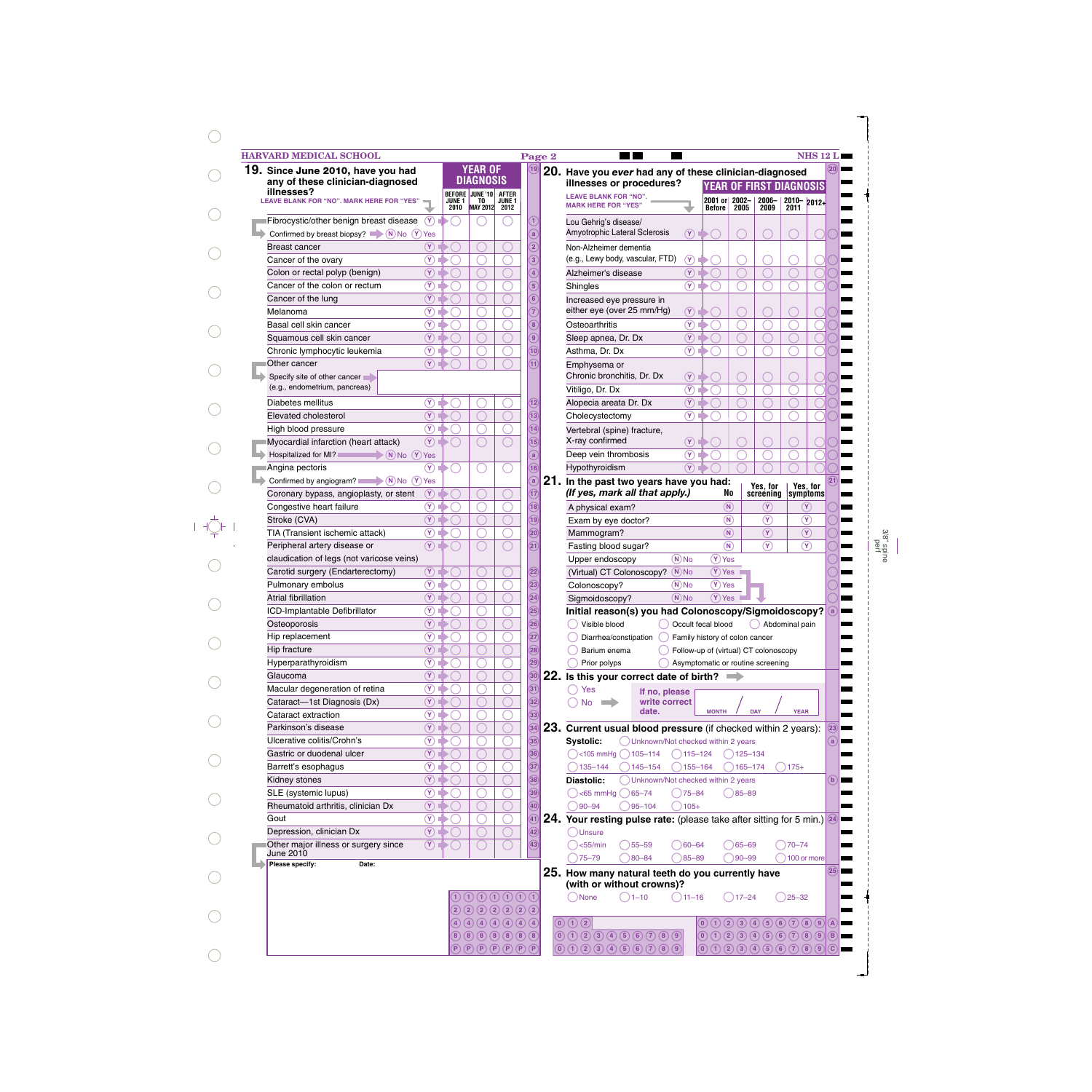| <b>HARVARD MEDICAL SCHOOL</b>                                                       |                                                                                                        |                                                                                                                     |               | Page 2                                  |     | <u>a sa Bara</u>                                                                                                                                                                                                                                                                                    |                                 |                                  |              |                                                                                                                                                                                                                                                                                                                                                                                                                                                                                                        |                               | NHS $12 L$      |
|-------------------------------------------------------------------------------------|--------------------------------------------------------------------------------------------------------|---------------------------------------------------------------------------------------------------------------------|---------------|-----------------------------------------|-----|-----------------------------------------------------------------------------------------------------------------------------------------------------------------------------------------------------------------------------------------------------------------------------------------------------|---------------------------------|----------------------------------|--------------|--------------------------------------------------------------------------------------------------------------------------------------------------------------------------------------------------------------------------------------------------------------------------------------------------------------------------------------------------------------------------------------------------------------------------------------------------------------------------------------------------------|-------------------------------|-----------------|
| 19. Since June 2010, have you had<br>any of these clinician-diagnosed<br>illnesses? |                                                                                                        | <b>YEAR OF</b><br><b>DIAGNOSIS</b>                                                                                  |               | (19)                                    |     | 20. Have you ever had any of these clinician-diagnosed<br>illnesses or procedures?                                                                                                                                                                                                                  |                                 |                                  |              | <b>YEAR OF FIRST DIAGNOSIS</b>                                                                                                                                                                                                                                                                                                                                                                                                                                                                         |                               | $\overline{20}$ |
| LEAVE BLANK FOR "NO". MARK HERE FOR "YES"                                           | <b>JUNE 1</b><br>2010                                                                                  | BEFORE JUNE '10 AFTER<br><b>TO</b><br>MAY 2012 2012                                                                 | <b>JUNE 1</b> |                                         |     | <b>LEAVE BLANK FOR "NO".</b><br><b>MARK HERE FOR "YES"</b>                                                                                                                                                                                                                                          |                                 | 2001 or 2002-<br>Before          | 2005         | $2006 -   2010 -   2012 +  $<br>2009                                                                                                                                                                                                                                                                                                                                                                                                                                                                   | 2011                          |                 |
| Fibrocystic/other benign breast disease $(Y)$                                       |                                                                                                        |                                                                                                                     |               | 1                                       |     | Lou Gehrig's disease/                                                                                                                                                                                                                                                                               |                                 |                                  |              |                                                                                                                                                                                                                                                                                                                                                                                                                                                                                                        |                               |                 |
| Confirmed by breast biopsy? $\blacksquare$ (N) No (Y) Yes<br><b>Breast cancer</b>   | (Y)                                                                                                    |                                                                                                                     |               | $\left  \mathbf{a} \right $<br>$\Omega$ |     | Amyotrophic Lateral Sclerosis                                                                                                                                                                                                                                                                       | $\Omega$                        |                                  |              |                                                                                                                                                                                                                                                                                                                                                                                                                                                                                                        |                               |                 |
| Cancer of the ovary                                                                 | $\circledcirc$                                                                                         |                                                                                                                     |               | $\boxed{3}$                             |     | Non-Alzheimer dementia<br>(e.g., Lewy body, vascular, FTD)                                                                                                                                                                                                                                          | $(\mathsf{Y})$                  |                                  |              |                                                                                                                                                                                                                                                                                                                                                                                                                                                                                                        |                               |                 |
| Colon or rectal polyp (benign)                                                      | $\left(\overline{\mathsf{Y}}\right)$                                                                   |                                                                                                                     |               | $\sqrt{4}$                              |     | Alzheimer's disease                                                                                                                                                                                                                                                                                 | $\circled{r}$                   |                                  |              |                                                                                                                                                                                                                                                                                                                                                                                                                                                                                                        |                               |                 |
| Cancer of the colon or rectum                                                       | $(\lambda)$                                                                                            |                                                                                                                     |               | $\boxed{5}$                             |     | <b>Shingles</b>                                                                                                                                                                                                                                                                                     | $\circled{r}$                   |                                  |              |                                                                                                                                                                                                                                                                                                                                                                                                                                                                                                        |                               |                 |
| Cancer of the lung                                                                  | $\left(\overline{\mathsf{Y}}\right)$                                                                   |                                                                                                                     |               | $\widehat{\mathbf{6}}$                  |     | Increased eye pressure in                                                                                                                                                                                                                                                                           |                                 |                                  |              |                                                                                                                                                                                                                                                                                                                                                                                                                                                                                                        |                               |                 |
| Melanoma                                                                            | $\left( \widehat{\mathsf{Y}}\right)$                                                                   |                                                                                                                     |               | 7                                       |     | either eye (over 25 mm/Hg)                                                                                                                                                                                                                                                                          | (Y)                             |                                  |              |                                                                                                                                                                                                                                                                                                                                                                                                                                                                                                        |                               |                 |
| Basal cell skin cancer<br>Squamous cell skin cancer                                 | $\left(\overline{\mathsf{Y}}\right)$<br>$\left(\overline{\mathsf{Y}}\right)$                           |                                                                                                                     |               | $\boxed{8}$<br>ூ                        |     | Osteoarthritis<br>Sleep apnea, Dr. Dx                                                                                                                                                                                                                                                               | $\circledcirc$<br>$\circled{r}$ |                                  |              |                                                                                                                                                                                                                                                                                                                                                                                                                                                                                                        |                               |                 |
| Chronic lymphocytic leukemia                                                        | $(\lambda)$                                                                                            |                                                                                                                     |               | $\overline{10}$                         |     | Asthma, Dr. Dx                                                                                                                                                                                                                                                                                      | $\circled{r}$                   |                                  |              |                                                                                                                                                                                                                                                                                                                                                                                                                                                                                                        |                               |                 |
| Other cancer                                                                        | $(\lambda)$                                                                                            |                                                                                                                     |               | (11)                                    |     | Emphysema or                                                                                                                                                                                                                                                                                        |                                 |                                  |              |                                                                                                                                                                                                                                                                                                                                                                                                                                                                                                        |                               |                 |
| Specify site of other cancer                                                        |                                                                                                        |                                                                                                                     |               |                                         |     | Chronic bronchitis, Dr. Dx                                                                                                                                                                                                                                                                          | (Y)                             |                                  |              |                                                                                                                                                                                                                                                                                                                                                                                                                                                                                                        |                               |                 |
| (e.g., endometrium, pancreas)                                                       |                                                                                                        |                                                                                                                     |               |                                         |     | Vitiligo, Dr. Dx                                                                                                                                                                                                                                                                                    | $\circledcirc$                  |                                  |              |                                                                                                                                                                                                                                                                                                                                                                                                                                                                                                        |                               |                 |
| Diabetes mellitus                                                                   | $(\lambda)$                                                                                            |                                                                                                                     |               | (12)                                    |     | Alopecia areata Dr. Dx                                                                                                                                                                                                                                                                              | $\left( Y\right)$               |                                  |              |                                                                                                                                                                                                                                                                                                                                                                                                                                                                                                        |                               |                 |
| Elevated cholesterol                                                                | $(\mathbf{Y})$<br>$(\lambda)$                                                                          |                                                                                                                     |               | $\widehat{13}$<br>$\overline{14}$       |     | Cholecystectomy                                                                                                                                                                                                                                                                                     | $\circled{r}$                   |                                  |              |                                                                                                                                                                                                                                                                                                                                                                                                                                                                                                        |                               |                 |
| High blood pressure<br>Myocardial infarction (heart attack)                         | $(\overline{Y})$ $\Box$                                                                                |                                                                                                                     |               | $\overline{15}$                         |     | Vertebral (spine) fracture,<br>X-ray confirmed                                                                                                                                                                                                                                                      | (Y)                             |                                  |              |                                                                                                                                                                                                                                                                                                                                                                                                                                                                                                        |                               |                 |
| $\bigcap_{N \geq 0} N \geq N$ Yes<br>Hospitalized for MI?                           |                                                                                                        |                                                                                                                     |               | a                                       |     | Deep vein thrombosis                                                                                                                                                                                                                                                                                | $\circled{r}$                   |                                  |              |                                                                                                                                                                                                                                                                                                                                                                                                                                                                                                        |                               |                 |
| Angina pectoris                                                                     | $\circled{r}$                                                                                          |                                                                                                                     |               | (16)                                    |     | Hypothyroidism                                                                                                                                                                                                                                                                                      | $\circ$                         |                                  |              |                                                                                                                                                                                                                                                                                                                                                                                                                                                                                                        |                               |                 |
| Confirmed by angiogram? $N \wedge N$ No $(Y)$ Yes                                   |                                                                                                        |                                                                                                                     |               | $\left[ a\right]$                       | 21. | In the past two years have you had:                                                                                                                                                                                                                                                                 |                                 |                                  |              | Yes, for                                                                                                                                                                                                                                                                                                                                                                                                                                                                                               | Yes, for                      |                 |
| Coronary bypass, angioplasty, or stent                                              | $\left(\gamma\right)$                                                                                  |                                                                                                                     |               | (17)                                    |     | (If yes, mark all that apply.)                                                                                                                                                                                                                                                                      |                                 | No                               |              | screening                                                                                                                                                                                                                                                                                                                                                                                                                                                                                              | symptoms                      |                 |
| Congestive heart failure                                                            | $\circled{r}$                                                                                          |                                                                                                                     |               | $\widehat{B}$                           |     | A physical exam?                                                                                                                                                                                                                                                                                    |                                 | (N)                              |              | $\circled{r}$                                                                                                                                                                                                                                                                                                                                                                                                                                                                                          | $(\lambda)$                   |                 |
| Stroke (CVA)<br>TIA (Transient ischemic attack)                                     | $(\mathbf{Y})$<br>$(\mathbf{Y})$                                                                       |                                                                                                                     |               | 19)<br>$\circledcirc$                   |     | Exam by eye doctor?<br>Mammogram?                                                                                                                                                                                                                                                                   |                                 | $\binom{N}{k}$<br>$\binom{N}{k}$ |              | $\circledcirc$<br>$\circled{r}$                                                                                                                                                                                                                                                                                                                                                                                                                                                                        | $\circledR$<br>$\circledcirc$ |                 |
| Peripheral artery disease or                                                        | (Y)                                                                                                    |                                                                                                                     |               | $\boxed{21}$                            |     | Fasting blood sugar?                                                                                                                                                                                                                                                                                |                                 | $\widehat{N}$                    |              | $\circledcirc$                                                                                                                                                                                                                                                                                                                                                                                                                                                                                         | $\circledcirc$                |                 |
| claudication of legs (not varicose veins)                                           |                                                                                                        |                                                                                                                     |               |                                         |     | Upper endoscopy                                                                                                                                                                                                                                                                                     | $(N)$ No                        | $(Y)$ Yes                        |              |                                                                                                                                                                                                                                                                                                                                                                                                                                                                                                        |                               |                 |
| Carotid surgery (Endarterectomy)                                                    | (Y)                                                                                                    |                                                                                                                     |               | (22)                                    |     | (Virtual) CT Colonoscopy?                                                                                                                                                                                                                                                                           | $(N)$ No                        | $(Y)$ Yes                        |              |                                                                                                                                                                                                                                                                                                                                                                                                                                                                                                        |                               |                 |
| Pulmonary embolus                                                                   | $\circled{r}$                                                                                          |                                                                                                                     |               | (23)                                    |     | Colonoscopy?                                                                                                                                                                                                                                                                                        | $(N)$ No                        | $(Y)$ Yes                        |              |                                                                                                                                                                                                                                                                                                                                                                                                                                                                                                        |                               |                 |
| Atrial fibrillation                                                                 | $(\Upsilon)$                                                                                           |                                                                                                                     |               | (24)                                    |     | Sigmoidoscopy?                                                                                                                                                                                                                                                                                      | $(N)$ No                        | $(Y)$ Yes                        |              |                                                                                                                                                                                                                                                                                                                                                                                                                                                                                                        |                               |                 |
| ICD-Implantable Defibrillator<br>Osteoporosis                                       | $\left(\overline{\textbf{Y}}\right)$<br>$\mathcal{F}$                                                  |                                                                                                                     |               | $\sqrt{25}$<br>26                       |     | Initial reason(s) you had Colonoscopy/Sigmoidoscopy?<br>() Visible blood                                                                                                                                                                                                                            |                                 | Occult fecal blood               |              |                                                                                                                                                                                                                                                                                                                                                                                                                                                                                                        | Abdominal pain                | $\mathbf{a}$    |
| Hip replacement                                                                     | $\left( \mathrm{V}\right)$<br>$\blacktriangleright$ ( )                                                |                                                                                                                     |               | (27)                                    |     | Diarrhea/constipation                                                                                                                                                                                                                                                                               |                                 | Family history of colon cancer   |              |                                                                                                                                                                                                                                                                                                                                                                                                                                                                                                        |                               |                 |
| Hip fracture                                                                        | $\odot$ $\blacktriangleright$ $\odot$                                                                  |                                                                                                                     |               | (28)                                    |     | Barium enema                                                                                                                                                                                                                                                                                        |                                 |                                  |              | Follow-up of (virtual) CT colonoscopy                                                                                                                                                                                                                                                                                                                                                                                                                                                                  |                               |                 |
| Hyperparathyroidism                                                                 | $\odot \blacklozenge \odot$                                                                            |                                                                                                                     |               | (29)                                    |     | Prior polyps                                                                                                                                                                                                                                                                                        |                                 |                                  |              | Asymptomatic or routine screening                                                                                                                                                                                                                                                                                                                                                                                                                                                                      |                               |                 |
| Glaucoma                                                                            | (Y)                                                                                                    |                                                                                                                     |               | (30)                                    |     | 22. Is this your correct date of birth?                                                                                                                                                                                                                                                             |                                 |                                  |              |                                                                                                                                                                                                                                                                                                                                                                                                                                                                                                        |                               |                 |
| Macular degeneration of retina                                                      | $(\overline{\mathsf{Y}})$<br>$\left( \begin{array}{c} \end{array} \right)$                             |                                                                                                                     |               | (31)                                    |     | $\bigcap$ Yes<br>If no, please                                                                                                                                                                                                                                                                      |                                 |                                  |              |                                                                                                                                                                                                                                                                                                                                                                                                                                                                                                        |                               |                 |
| Cataract-1st Diagnosis (Dx)<br>Cataract extraction                                  | $\circledcirc$                                                                                         |                                                                                                                     |               | (32)<br>(33)                            |     | write correct<br>( )No<br>$\Rightarrow$<br>date.                                                                                                                                                                                                                                                    |                                 | <b>MONTH</b>                     |              | <b>DAY</b>                                                                                                                                                                                                                                                                                                                                                                                                                                                                                             | <b>YEAR</b>                   |                 |
| Parkinson's disease                                                                 | $\left(\overline{\mathsf{Y}}\right)$<br>$\left( \begin{array}{c} \end{array} \right)$<br>$\circled{r}$ |                                                                                                                     |               | (34)                                    | 23. | Current usual blood pressure (if checked within 2 years):                                                                                                                                                                                                                                           |                                 |                                  |              |                                                                                                                                                                                                                                                                                                                                                                                                                                                                                                        |                               | 23)             |
| Ulcerative colitis/Crohn's                                                          | $^\circledR$<br>$\left( \begin{array}{c} \end{array} \right)$                                          |                                                                                                                     |               | (35)                                    |     | Systolic:<br>Unknown/Not checked within 2 years                                                                                                                                                                                                                                                     |                                 |                                  |              |                                                                                                                                                                                                                                                                                                                                                                                                                                                                                                        |                               | a               |
| Gastric or duodenal ulcer                                                           | $(\Upsilon)$                                                                                           |                                                                                                                     |               | (36)                                    |     | $\bigcirc$ <105 mmHg $\bigcirc$ 105-114                                                                                                                                                                                                                                                             | $()115 - 124$                   |                                  | $)125 - 134$ |                                                                                                                                                                                                                                                                                                                                                                                                                                                                                                        |                               |                 |
| Barrett's esophagus                                                                 | $\left(\overline{\mathsf{Y}}\right)$<br>$\blacktriangleright$ ( )                                      |                                                                                                                     |               | $\sqrt{37}$                             |     | $)145 - 154$<br>$)135 - 144$                                                                                                                                                                                                                                                                        | $()155 - 164$                   |                                  | $)165 - 174$ |                                                                                                                                                                                                                                                                                                                                                                                                                                                                                                        | $)175+$                       |                 |
| Kidney stones                                                                       | $\circled{r}$                                                                                          |                                                                                                                     |               | (38)                                    |     | Diastolic:<br>Unknown/Not checked within 2 years                                                                                                                                                                                                                                                    |                                 |                                  |              |                                                                                                                                                                                                                                                                                                                                                                                                                                                                                                        |                               | $\mathbf{b}$    |
| SLE (systemic lupus)                                                                | $\circled{r}$<br>$\rightarrow$ $\circ$                                                                 |                                                                                                                     |               | (39)                                    |     | $\bigcirc$ <65 mmHg $\bigcirc$ 65-74                                                                                                                                                                                                                                                                | $()75 - 84$                     |                                  | $( )85 - 89$ |                                                                                                                                                                                                                                                                                                                                                                                                                                                                                                        |                               |                 |
| Rheumatoid arthritis, clinician Dx                                                  | $\Omega \rightarrow \Omega$                                                                            |                                                                                                                     | ∩             | (40)                                    |     | $90 - 94$<br>$\bigcirc$ 95–104                                                                                                                                                                                                                                                                      | $\bigcirc$ 105+                 |                                  |              |                                                                                                                                                                                                                                                                                                                                                                                                                                                                                                        |                               |                 |
| Gout<br>Depression, clinician Dx                                                    | $\odot \blacklozenge \odot$<br>$\circledcirc$                                                          |                                                                                                                     | ∩             | (41)<br>(42)                            |     | <b>24. Your resting pulse rate:</b> (please take after sitting for 5 min.) $\boxed{24}$<br>$\bigcirc$ Unsure                                                                                                                                                                                        |                                 |                                  |              |                                                                                                                                                                                                                                                                                                                                                                                                                                                                                                        |                               |                 |
| Other major illness or surgery since                                                | $\circled{r}$                                                                                          |                                                                                                                     |               | (43)                                    |     | $($ $)<$ 55/min<br>$( )55 - 59$                                                                                                                                                                                                                                                                     | $( )60 - 64$                    |                                  | $65 - 69$    |                                                                                                                                                                                                                                                                                                                                                                                                                                                                                                        | $70 - 74$                     |                 |
| June 2010                                                                           |                                                                                                        |                                                                                                                     |               |                                         |     | $75 - 79$<br>$( )80 - 84$                                                                                                                                                                                                                                                                           | $285 - 89$                      |                                  | $)90 - 99$   |                                                                                                                                                                                                                                                                                                                                                                                                                                                                                                        | $100$ or more                 |                 |
| Please specify:<br>Date:                                                            |                                                                                                        |                                                                                                                     |               |                                         |     | 25. How many natural teeth do you currently have                                                                                                                                                                                                                                                    |                                 |                                  |              |                                                                                                                                                                                                                                                                                                                                                                                                                                                                                                        |                               | $^{25}$         |
|                                                                                     |                                                                                                        |                                                                                                                     |               |                                         |     | (with or without crowns)?                                                                                                                                                                                                                                                                           |                                 |                                  |              |                                                                                                                                                                                                                                                                                                                                                                                                                                                                                                        |                               |                 |
|                                                                                     |                                                                                                        | $\hspace{0.38cm} \mathfrak{d}\oplus\mathfrak{d}\oplus\mathfrak{d}\oplus\mathfrak{d}\oplus\mathfrak{d}$<br>202020202 |               |                                         |     | ( ) None<br>$()1 - 10$                                                                                                                                                                                                                                                                              | $()11 - 16$                     |                                  | $()17 - 24$  |                                                                                                                                                                                                                                                                                                                                                                                                                                                                                                        | $25 - 32$                     |                 |
|                                                                                     |                                                                                                        | $\bigcircled{4}$ $\bigcircled{4}$ $\bigcircled{4}$ $\bigcircled{4}$ $\bigcircled{4}$ $\bigcircled{4}$               |               |                                         |     | $\odot$ $\odot$ $\odot$                                                                                                                                                                                                                                                                             |                                 |                                  |              | $\begin{array}{ c c c c c }\hline \textbf{0}&\textbf{1}&\textbf{2}&\textbf{3}&\textbf{4}&\textbf{5}&\textbf{6}&\textbf{7}&\textbf{8}&\textbf{9}&\textbf{4} \end{array}$                                                                                                                                                                                                                                                                                                                                |                               |                 |
|                                                                                     |                                                                                                        |                                                                                                                     |               |                                         |     | $\textcircled{\scriptsize{0}} \textcircled{\scriptsize{1}} \textcircled{\scriptsize{2}} \textcircled{\scriptsize{3}} \textcircled{\scriptsize{4}} \textcircled{\scriptsize{5}} \textcircled{\scriptsize{6}} \textcircled{\scriptsize{7}} \textcircled{\scriptsize{8}} \textcircled{\scriptsize{9}}$ |                                 |                                  |              | $\begin{array}{ c c c c c }\hline \textcircled{1} & \textcircled{1} & \textcircled{2} & \textcircled{3} & \textcircled{4} & \textcircled{5} & \textcircled{6} & \textcircled{7} & \textcircled{8} & \textcircled{9} & \textcircled{8} & \textcircled{9} & \textcircled{9} & \textcircled{9} & \textcircled{9} & \textcircled{9} & \textcircled{9} & \textcircled{9} & \textcircled{9} & \textcircled{9} & \textcircled{9} & \textcircled{9} & \textcircled{9} & \textcircled{9} & \textcircled{9} & \$ |                               |                 |
|                                                                                     |                                                                                                        |                                                                                                                     |               |                                         |     |                                                                                                                                                                                                                                                                                                     |                                 |                                  |              |                                                                                                                                                                                                                                                                                                                                                                                                                                                                                                        |                               |                 |

 $\bigcirc$ 

 $\bigcirc$ 

3/8" spine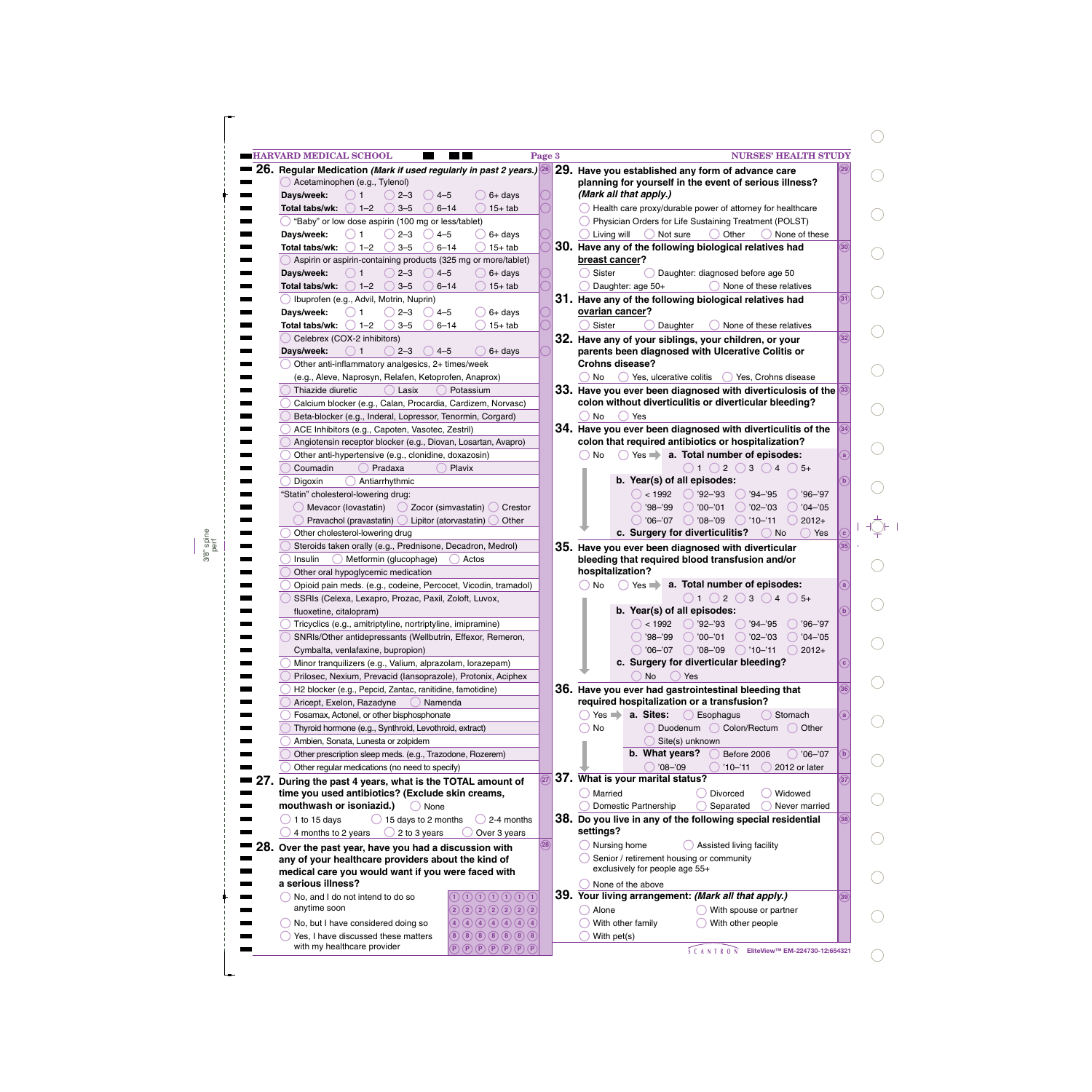| <b>HARVARD MEDICAL SCHOOL</b>                                                                            |                                                                                 | Page 3 | <b>NURSES' HEALTH STUDY</b>                                                                                                                                                                |                             |
|----------------------------------------------------------------------------------------------------------|---------------------------------------------------------------------------------|--------|--------------------------------------------------------------------------------------------------------------------------------------------------------------------------------------------|-----------------------------|
| Acetaminophen (e.g., Tylenol)                                                                            |                                                                                 |        | 26. Regular Medication (Mark if used regularly in past 2 years.) <sup>26</sup> 29. Have you established any form of advance care<br>planning for yourself in the event of serious illness? |                             |
| Days/week:<br>$2 - 3$<br>$4 - 5$<br>Total tabs/wk:<br>$) 1 - 2$<br>$3 - 5$<br>$6 - 14$                   | $6+$ days<br>$15+$ tab                                                          |        | (Mark all that apply.)<br>Health care proxy/durable power of attorney for healthcare                                                                                                       |                             |
| $\bigcirc$ "Baby" or low dose aspirin (100 mg or less/tablet)                                            |                                                                                 |        | Physician Orders for Life Sustaining Treatment (POLST)                                                                                                                                     |                             |
| $2 - 3$<br>Days/week:<br>$(\ )$<br>$4 - 5$                                                               | 6+ days                                                                         |        | Living will $\bigcirc$ Not sure<br>Other<br>$(\ )$<br>None of these                                                                                                                        |                             |
| $3 - 5$<br>Total tabs/wk:<br>$1 - 2$<br>$6 - 14$                                                         | $15+$ tab                                                                       |        | 30. Have any of the following biological relatives had                                                                                                                                     |                             |
| $\bigcirc$ Aspirin or aspirin-containing products (325 mg or more/tablet)                                |                                                                                 |        | breast cancer?                                                                                                                                                                             |                             |
| $2 - 3$<br>$4 - 5$<br>Days/week:                                                                         | $6+$ days                                                                       |        | Sister<br>Daughter: diagnosed before age 50                                                                                                                                                |                             |
| $3 - 5$<br>Total tabs/wk:<br>$) 1 - 2$<br>$6 - 14$                                                       | $15+$ tab                                                                       |        | Daughter: age 50+<br>None of these relatives<br>$(\ )$                                                                                                                                     |                             |
| Ubuprofen (e.g., Advil, Motrin, Nuprin)                                                                  |                                                                                 |        | 31. Have any of the following biological relatives had                                                                                                                                     | 31                          |
| Days/week:<br>$2 - 3$<br>$4 - 5$                                                                         | $6+$ days                                                                       |        | ovarian cancer?                                                                                                                                                                            |                             |
| Total tabs/wk:<br>$() 1-2$<br>$3 - 5$<br>$6 - 14$                                                        | $15+$ tab                                                                       |        | Sister<br>None of these relatives<br>Daughter                                                                                                                                              |                             |
| Celebrex (COX-2 inhibitors)                                                                              |                                                                                 |        | 32. Have any of your siblings, your children, or your                                                                                                                                      | 32)                         |
| Days/week:<br>$2 - 3$<br>$4 - 5$<br>()1                                                                  | $6+$ days                                                                       |        | parents been diagnosed with Ulcerative Colitis or                                                                                                                                          |                             |
| Other anti-inflammatory analgesics, 2+ times/week                                                        |                                                                                 |        | <b>Crohns disease?</b>                                                                                                                                                                     |                             |
| (e.g., Aleve, Naprosyn, Relafen, Ketoprofen, Anaprox)                                                    |                                                                                 |        | $\bigcirc$ Yes, ulcerative colitis<br>No.<br>◯ Yes, Crohns disease                                                                                                                         |                             |
| Thiazide diuretic<br>Lasix                                                                               | Potassium                                                                       |        | 33. Have you ever been diagnosed with diverticulosis of the 33                                                                                                                             |                             |
| Calcium blocker (e.g., Calan, Procardia, Cardizem, Norvasc)                                              |                                                                                 |        | colon without diverticulitis or diverticular bleeding?                                                                                                                                     |                             |
| Beta-blocker (e.g., Inderal, Lopressor, Tenormin, Corgard)                                               |                                                                                 |        | ( ) No<br>$()$ Yes                                                                                                                                                                         |                             |
| ACE Inhibitors (e.g., Capoten, Vasotec, Zestril)                                                         |                                                                                 |        | 34. Have you ever been diagnosed with diverticulitis of the                                                                                                                                |                             |
| Angiotensin receptor blocker (e.g., Diovan, Losartan, Avapro)                                            |                                                                                 |        | colon that required antibiotics or hospitalization?                                                                                                                                        |                             |
| Other anti-hypertensive (e.g., clonidine, doxazosin)<br>Coumadin<br>Pradaxa                              | Plavix                                                                          |        | $\bigcirc$ Yes $\blacktriangleright$ a. Total number of episodes:<br><b>No</b><br>$\bigcirc$ 1 $\bigcirc$ 2 $\bigcirc$ 3 $\bigcirc$ 4 $\bigcirc$ 5+                                        |                             |
| Digoxin<br>Antiarrhythmic                                                                                |                                                                                 |        | b. Year(s) of all episodes:                                                                                                                                                                |                             |
| "Statin" cholesterol-lowering drug:                                                                      |                                                                                 |        | $()$ < 1992<br>$() '92-'93$<br>$'94 - 95$<br>$96 - 97$<br>$($ )                                                                                                                            |                             |
| $\bigcirc$ Mevacor (lovastatin) $\bigcirc$ Zocor (simvastatin) $\bigcirc$                                | Crestor                                                                         |        | $98 - 99$<br>$'00 - '01$<br>$'02 - '03$<br>$'04 - '05$                                                                                                                                     |                             |
| Pravachol (pravastatin) Ulipitor (atorvastatin) O                                                        | Other                                                                           |        | '06-'07<br>$\bigcirc$ '10-'11<br>$() '08-'09$<br>$2012+$                                                                                                                                   |                             |
| Other cholesterol-lowering drug                                                                          |                                                                                 |        | c. Surgery for diverticulitis?<br>$()$ Yes<br><b>No</b>                                                                                                                                    |                             |
| Steroids taken orally (e.g., Prednisone, Decadron, Medrol)                                               |                                                                                 |        | 35. Have you ever been diagnosed with diverticular                                                                                                                                         | 35)                         |
| Insulin<br>Metformin (glucophage)                                                                        | Actos                                                                           |        | bleeding that required blood transfusion and/or                                                                                                                                            |                             |
| Other oral hypoglycemic medication                                                                       |                                                                                 |        | hospitalization?                                                                                                                                                                           |                             |
| Opioid pain meds. (e.g., codeine, Percocet, Vicodin, tramadol)                                           |                                                                                 |        | $\bigcirc$ Yes $\Rightarrow$ a. Total number of episodes:<br>No.                                                                                                                           |                             |
| SSRIs (Celexa, Lexapro, Prozac, Paxil, Zoloft, Luvox,                                                    |                                                                                 |        | $\bigcirc$ 1 $\bigcirc$ 2 $\bigcirc$ 3 $\bigcirc$ 4 $\bigcirc$ 5+                                                                                                                          |                             |
| fluoxetine, citalopram)                                                                                  |                                                                                 |        | b. Year(s) of all episodes:                                                                                                                                                                |                             |
| Tricyclics (e.g., amitriptyline, nortriptyline, imipramine)                                              |                                                                                 |        | $()$ < 1992<br>'92-'93<br>$($ )<br>'94–'95<br>$96 - 97$                                                                                                                                    |                             |
| SNRIs/Other antidepressants (Wellbutrin, Effexor, Remeron,                                               |                                                                                 |        | $98 - 99$<br>$'00 - '01$<br>$'02 - '03$<br>$'04 - '05$<br>$'06 - '07$<br>$O' - 80'$<br>$\bigcirc$ '10-'11<br>$2012+$                                                                       |                             |
| Cymbalta, venlafaxine, bupropion)<br>Minor tranquilizers (e.g., Valium, alprazolam, lorazepam)           |                                                                                 |        | c. Surgery for diverticular bleeding?                                                                                                                                                      |                             |
| Prilosec, Nexium, Prevacid (Iansoprazole), Protonix, Aciphex                                             |                                                                                 |        | <b>No</b><br>Yes                                                                                                                                                                           |                             |
| H2 blocker (e.g., Pepcid, Zantac, ranitidine, famotidine)                                                |                                                                                 |        | 36. Have you ever had gastrointestinal bleeding that                                                                                                                                       | 36                          |
| Aricept, Exelon, Razadyne<br>Namenda                                                                     |                                                                                 |        | required hospitalization or a transfusion?                                                                                                                                                 |                             |
| Fosamax, Actonel, or other bisphosphonate                                                                |                                                                                 |        | $Yes \Rightarrow a$ . Sites:<br>$\left( \begin{array}{c} \end{array} \right)$<br>Esophagus<br>Stomach                                                                                      | $\left  \mathbf{a} \right $ |
| Thyroid hormone (e.g., Synthroid, Levothroid, extract)                                                   |                                                                                 |        | <b>No</b><br>Duodenum C Colon/Rectum<br>$($ )<br>Other                                                                                                                                     |                             |
| Ambien, Sonata, Lunesta or zolpidem                                                                      |                                                                                 |        | Site(s) unknown                                                                                                                                                                            |                             |
| Other prescription sleep meds. (e.g., Trazodone, Rozerem)                                                |                                                                                 |        | b. What years?<br>Before 2006<br>$'06 - '07$                                                                                                                                               | $\mathbf{b}$                |
| Other regular medications (no need to specify)                                                           |                                                                                 |        | $'08 - '09$<br>$'10-'11$<br>2012 or later                                                                                                                                                  |                             |
| During the past 4 years, what is the TOTAL amount of                                                     |                                                                                 | (27)   | 37. What is your marital status?                                                                                                                                                           | 37                          |
| time you used antibiotics? (Exclude skin creams,                                                         |                                                                                 |        | Married<br><b>Divorced</b><br>Widowed                                                                                                                                                      |                             |
| mouthwash or isoniazid.)<br>○ None                                                                       |                                                                                 |        | Domestic Partnership<br>Separated<br>Never married                                                                                                                                         |                             |
| 15 days to 2 months<br>1 to 15 days                                                                      | 2-4 months                                                                      |        | 38. Do you live in any of the following special residential                                                                                                                                |                             |
| 2 to 3 years<br>4 months to 2 years                                                                      | Over 3 years                                                                    |        | settings?                                                                                                                                                                                  |                             |
| 28. Over the past year, have you had a discussion with                                                   |                                                                                 | (28)   | Nursing home<br>Assisted living facility<br>Senior / retirement housing or community                                                                                                       |                             |
| any of your healthcare providers about the kind of<br>medical care you would want if you were faced with |                                                                                 |        | exclusively for people age 55+                                                                                                                                                             |                             |
| a serious illness?                                                                                       |                                                                                 |        | None of the above                                                                                                                                                                          |                             |
| No, and I do not intend to do so                                                                         | $\bigcap$ $\bigcap$ $\bigcap$ $\bigcap$ $\bigcap$ $\bigcap$ $\bigcap$ $\bigcap$ |        | 39. Your living arrangement: (Mark all that apply.)                                                                                                                                        | 39)                         |
| anytime soon                                                                                             | 2020202020                                                                      |        | Alone<br>With spouse or partner                                                                                                                                                            |                             |
|                                                                                                          | $\bigcirc$ (4) (4) (4) (4) (4) (4) (4)                                          |        | With other family<br>With other people                                                                                                                                                     |                             |
| No, but I have considered doing so                                                                       |                                                                                 |        |                                                                                                                                                                                            |                             |

3/8" spine perf

|  |  |  |  | S C A N T R O N' EliteView™ EM-224730-12:654321 |  |
|--|--|--|--|-------------------------------------------------|--|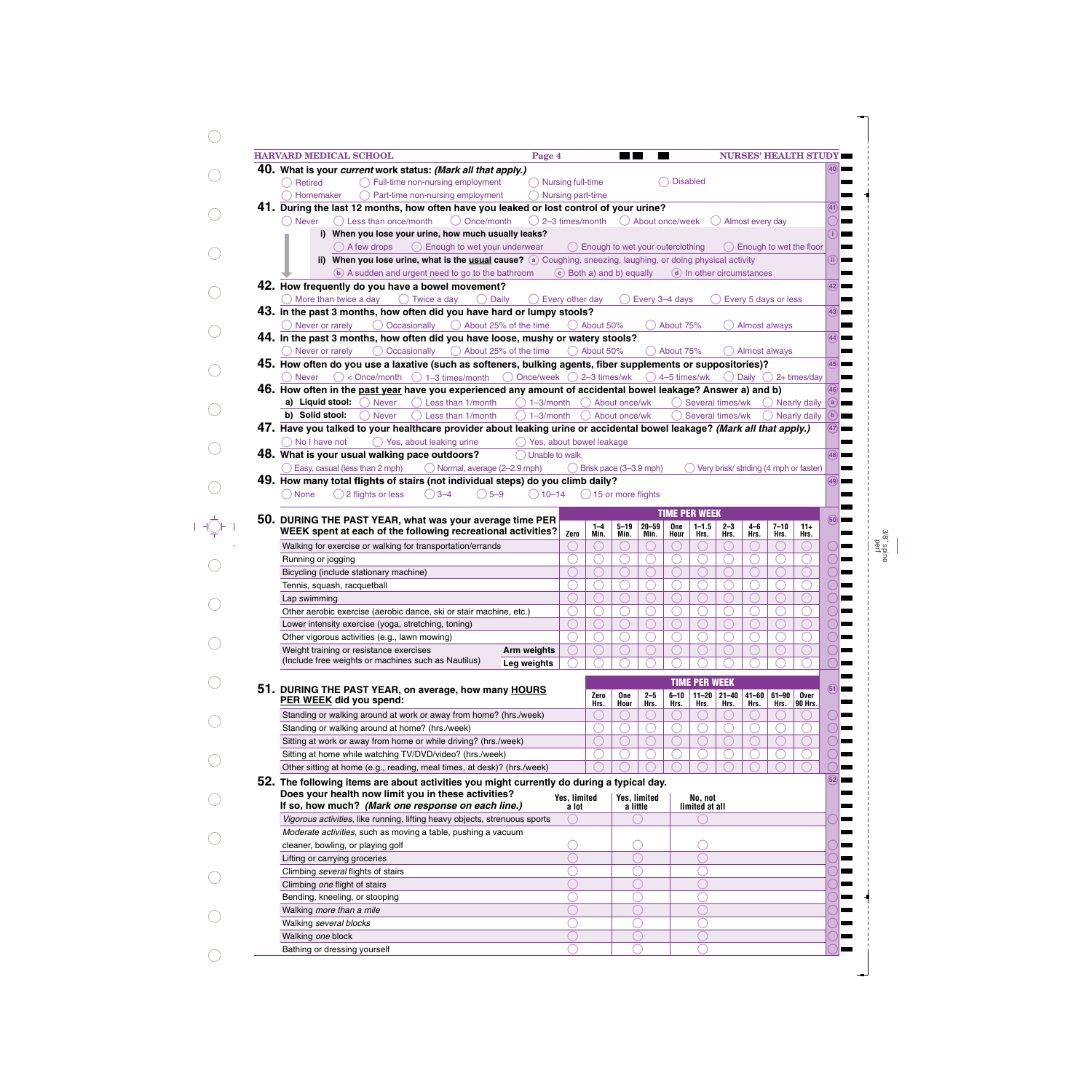| <b>HARVARD MEDICAL SCHOOL</b><br>Page 4                                                                                                            |                              |                               |               |                                  |                       |                                      |                 |                      |                 | <b>NURSES' HEALTH STUDY</b>            |                                     |
|----------------------------------------------------------------------------------------------------------------------------------------------------|------------------------------|-------------------------------|---------------|----------------------------------|-----------------------|--------------------------------------|-----------------|----------------------|-----------------|----------------------------------------|-------------------------------------|
| 40. What is your current work status: (Mark all that apply.)                                                                                       |                              |                               |               |                                  |                       |                                      |                 |                      |                 |                                        |                                     |
| ◯ Full-time non-nursing employment<br><b>Retired</b>                                                                                               | $\bigcirc$ Nursing full-time |                               |               |                                  |                       | <b>Disabled</b>                      |                 |                      |                 |                                        |                                     |
| Part-time non-nursing employment<br>Homemaker                                                                                                      | Nursing part-time            |                               |               |                                  |                       |                                      |                 |                      |                 |                                        |                                     |
| 41. During the last 12 months, how often have you leaked or lost control of your urine?                                                            |                              |                               |               |                                  |                       |                                      |                 |                      |                 |                                        | $\left( 41\right)$                  |
| Less than once/month<br>$( )$ Once/month<br><b>Never</b>                                                                                           | $\bigcirc$ 2–3 times/month   |                               |               | () About once/week               |                       |                                      |                 | Almost every day     |                 |                                        |                                     |
| i) When you lose your urine, how much usually leaks?                                                                                               |                              |                               |               |                                  |                       |                                      |                 |                      |                 |                                        |                                     |
| ◯ Enough to wet your underwear<br>) A few drops                                                                                                    |                              |                               |               | Enough to wet your outerclothing |                       |                                      |                 |                      |                 | Enough to wet the floor                |                                     |
| ii) When you lose urine, what is the usual cause? (a) Coughing, sneezing, laughing, or doing physical activity                                     |                              |                               |               |                                  |                       |                                      |                 |                      |                 |                                        | $\mathbf{ii}$ )                     |
| (b) A sudden and urgent need to go to the bathroom                                                                                                 | c Both a) and b) equally     |                               |               |                                  |                       | $(d)$ In other circumstances         |                 |                      |                 |                                        |                                     |
| 42. How frequently do you have a bowel movement?                                                                                                   |                              |                               |               |                                  |                       |                                      |                 |                      |                 |                                        | $ 42\rangle$                        |
| More than twice a day<br>Twice a day<br>Daily                                                                                                      | Every other day              |                               |               | Every 3-4 days                   |                       |                                      |                 | Every 5 days or less |                 |                                        |                                     |
| 43. In the past 3 months, how often did you have hard or lumpy stools?                                                                             |                              |                               |               |                                  |                       |                                      |                 |                      |                 |                                        | 43                                  |
| Occasionally<br>About 25% of the time<br>Never or rarely                                                                                           |                              | About 50%                     |               |                                  | About 75%             |                                      |                 | <b>Almost always</b> |                 |                                        |                                     |
| 44. In the past 3 months, how often did you have loose, mushy or watery stools?                                                                    |                              |                               |               |                                  |                       |                                      |                 |                      |                 |                                        | 44                                  |
| Never or rarely<br>Occasionally<br>About 25% of the time                                                                                           |                              | About 50%                     |               |                                  | About 75%             |                                      |                 | <b>Almost always</b> |                 |                                        |                                     |
| 45. How often do you use a laxative (such as softeners, bulking agents, fiber supplements or suppositories)?                                       |                              |                               |               |                                  |                       |                                      |                 |                      |                 |                                        | 45)                                 |
| < Once/month<br>$() 1-3$ times/month<br>Once/week<br><b>Never</b>                                                                                  |                              | 2-3 times/wk                  |               |                                  | $\left($ 4–5 times/wk |                                      |                 | Daily                |                 | 2+ times/day                           |                                     |
| 46. How often in the past year have you experienced any amount of accidental bowel leakage? Answer a) and b)                                       |                              |                               |               |                                  |                       |                                      |                 |                      |                 |                                        | (46)                                |
| a) Liquid stool:<br>Less than 1/month<br>$1 - 3$ /month<br><b>Never</b><br>b) Solid stool:                                                         |                              |                               | About once/wk |                                  |                       | Several times/wk<br>Several times/wk |                 |                      |                 | Nearly daily                           | $\Omega$ $\blacksquare$<br>$\Theta$ |
| Less than 1/month<br>$( ) 1 - 3$ /month<br><b>Never</b>                                                                                            |                              |                               | About once/wk |                                  |                       |                                      |                 |                      |                 | Nearly daily                           | (47)                                |
| 47. Have you talked to your healthcare provider about leaking urine or accidental bowel leakage? (Mark all that apply.)                            |                              |                               |               |                                  |                       |                                      |                 |                      |                 |                                        | E                                   |
| No I have not<br>Yes, about leaking urine<br>48. What is your usual walking pace outdoors?                                                         | Yes, about bowel leakage     |                               |               |                                  |                       |                                      |                 |                      |                 |                                        |                                     |
| Unable to walk                                                                                                                                     |                              |                               |               |                                  |                       |                                      |                 |                      |                 |                                        | (48)                                |
| Easy, casual (less than 2 mph)<br>O Normal, average (2-2.9 mph)<br>49. How many total flights of stairs (not individual steps) do you climb daily? |                              |                               |               | Brisk pace (3-3.9 mph)           |                       |                                      |                 |                      |                 | Very brisk/ striding (4 mph or faster) |                                     |
|                                                                                                                                                    |                              |                               |               |                                  |                       |                                      |                 |                      |                 |                                        | (49)                                |
| 2 flights or less<br>$3 - 4$<br>$5 - 9$<br><b>None</b><br>$) 10 - 14$                                                                              |                              | $\bigcirc$ 15 or more flights |               |                                  |                       |                                      |                 |                      |                 |                                        |                                     |
|                                                                                                                                                    |                              |                               |               |                                  |                       | <b>TIME PER WEEK</b>                 |                 |                      |                 |                                        | (50)                                |
| 50. DURING THE PAST YEAR, what was your average time PER<br>WEEK spent at each of the following recreational activities?                           | Zero                         | $1 - 4$                       | $5 - 19$      | $20 - 59$                        | One                   | $1 - 1.5$                            | $2 - 3$         | $4-6$                | $7 - 10$        | $11+$                                  |                                     |
| Walking for exercise or walking for transportation/errands                                                                                         |                              | Min.                          | Min.          | Min.                             | Hour                  | Hrs.                                 | Hrs.            | Hrs.                 | Hrs.            | Hrs.                                   |                                     |
| Running or jogging                                                                                                                                 |                              |                               |               |                                  |                       |                                      |                 |                      |                 |                                        |                                     |
| Bicycling (include stationary machine)                                                                                                             |                              |                               |               |                                  |                       |                                      |                 |                      |                 |                                        |                                     |
| Tennis, squash, racquetball                                                                                                                        |                              |                               |               |                                  |                       |                                      |                 |                      |                 |                                        |                                     |
| Lap swimming                                                                                                                                       |                              |                               |               |                                  |                       |                                      |                 |                      |                 |                                        |                                     |
| Other aerobic exercise (aerobic dance, ski or stair machine, etc.)                                                                                 |                              |                               |               |                                  |                       |                                      |                 |                      |                 |                                        |                                     |
| Lower intensity exercise (yoga, stretching, toning)                                                                                                |                              |                               |               |                                  |                       |                                      |                 |                      |                 |                                        |                                     |
|                                                                                                                                                    |                              |                               |               |                                  |                       |                                      |                 |                      |                 |                                        |                                     |
|                                                                                                                                                    |                              |                               |               |                                  |                       |                                      |                 |                      |                 |                                        |                                     |
| Other vigorous activities (e.g., lawn mowing)                                                                                                      |                              |                               |               |                                  |                       |                                      |                 |                      |                 |                                        |                                     |
| Weight training or resistance exercises<br>Arm weights                                                                                             |                              |                               |               |                                  |                       |                                      |                 |                      |                 |                                        |                                     |
| (Include free weights or machines such as Nautilus)<br>Leg weights                                                                                 |                              |                               |               |                                  |                       |                                      |                 |                      |                 |                                        |                                     |
|                                                                                                                                                    |                              |                               |               |                                  |                       | <b>TIME PER WEEK</b>                 |                 |                      |                 |                                        |                                     |
| 51. DURING THE PAST YEAR, on average, how many HOURS                                                                                               |                              | Zero                          | One           | $2 - 5$                          | $6 - 10$              |                                      | $11 - 20$ 21-40 |                      | $41 - 60$ 61-90 | Over                                   | (51)                                |
| PER WEEK did you spend:                                                                                                                            |                              | Hrs.                          | Hour          | Hrs.                             | Hrs.                  | Hrs.                                 | Hrs.            | Hrs.                 | Hrs.            | 90 Hrs.                                |                                     |
| Standing or walking around at work or away from home? (hrs./week)                                                                                  |                              |                               |               |                                  |                       |                                      |                 |                      |                 |                                        |                                     |
| Standing or walking around at home? (hrs./week)                                                                                                    |                              |                               |               |                                  |                       |                                      |                 |                      |                 |                                        |                                     |
| Sitting at work or away from home or while driving? (hrs./week)                                                                                    |                              |                               |               |                                  |                       |                                      |                 |                      |                 |                                        |                                     |
| Sitting at home while watching TV/DVD/video? (hrs./week)                                                                                           |                              |                               |               |                                  |                       |                                      |                 |                      |                 |                                        |                                     |
| Other sitting at home (e.g., reading, meal times, at desk)? (hrs./week)                                                                            |                              |                               |               |                                  |                       |                                      |                 |                      |                 |                                        |                                     |
| 52. The following items are about activities you might currently do during a typical day.                                                          |                              |                               |               |                                  |                       |                                      |                 |                      |                 |                                        | (52)                                |
| Does your health now limit you in these activities?                                                                                                | Yes, limited                 |                               |               | Yes, limited                     |                       | No, not                              |                 |                      |                 |                                        |                                     |
| If so, how much? (Mark one response on each line.)                                                                                                 | a lot                        |                               |               | a little                         |                       | limited at all                       |                 |                      |                 |                                        |                                     |
| Vigorous activities, like running, lifting heavy objects, strenuous sports                                                                         |                              |                               |               |                                  |                       |                                      |                 |                      |                 |                                        |                                     |
| Moderate activities, such as moving a table, pushing a vacuum                                                                                      |                              |                               |               |                                  |                       |                                      |                 |                      |                 |                                        |                                     |
| cleaner, bowling, or playing golf                                                                                                                  |                              |                               |               |                                  |                       |                                      |                 |                      |                 |                                        |                                     |
| Lifting or carrying groceries                                                                                                                      |                              |                               |               |                                  |                       |                                      |                 |                      |                 |                                        |                                     |
| Climbing several flights of stairs                                                                                                                 |                              |                               |               |                                  |                       |                                      |                 |                      |                 |                                        |                                     |
| Climbing one flight of stairs                                                                                                                      |                              |                               |               |                                  |                       |                                      |                 |                      |                 |                                        |                                     |
| Bending, kneeling, or stooping                                                                                                                     |                              |                               |               |                                  |                       |                                      |                 |                      |                 |                                        |                                     |
| Walking more than a mile                                                                                                                           |                              |                               |               |                                  |                       |                                      |                 |                      |                 |                                        |                                     |
| Walking several blocks<br>Walking one block                                                                                                        |                              |                               |               |                                  |                       |                                      |                 |                      |                 |                                        |                                     |

3/8" spine

 $\bigcirc$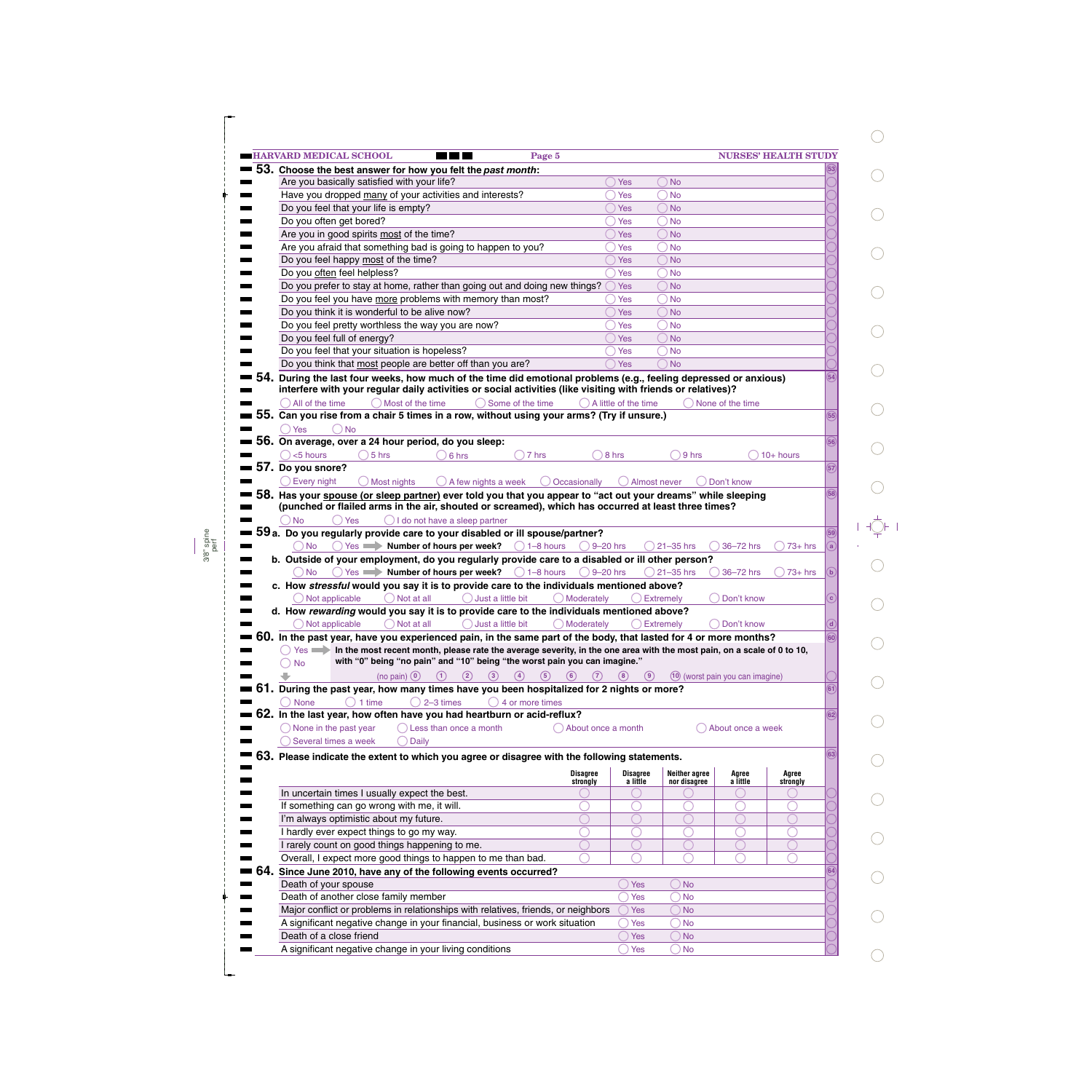|     | 53. Choose the best answer for how you felt the past month:                                                                                                                                                                                                                                                                                 |                      |                  |                                   |                                    |             |
|-----|---------------------------------------------------------------------------------------------------------------------------------------------------------------------------------------------------------------------------------------------------------------------------------------------------------------------------------------------|----------------------|------------------|-----------------------------------|------------------------------------|-------------|
|     | Are you basically satisfied with your life?                                                                                                                                                                                                                                                                                                 | Yes                  |                  | <b>No</b>                         |                                    |             |
|     | Have you dropped many of your activities and interests?                                                                                                                                                                                                                                                                                     | Yes                  |                  | <b>No</b>                         |                                    |             |
|     | Do you feel that your life is empty?                                                                                                                                                                                                                                                                                                        | Yes                  |                  | <b>No</b>                         |                                    |             |
|     | Do you often get bored?                                                                                                                                                                                                                                                                                                                     | Yes                  |                  | <b>No</b>                         |                                    |             |
|     | Are you in good spirits most of the time?                                                                                                                                                                                                                                                                                                   | Yes                  |                  | <b>No</b>                         |                                    |             |
|     | Are you afraid that something bad is going to happen to you?                                                                                                                                                                                                                                                                                | Yes                  |                  | <b>No</b>                         |                                    |             |
|     | Do you feel happy most of the time?                                                                                                                                                                                                                                                                                                         | Yes                  |                  | <b>No</b>                         |                                    |             |
|     | Do you often feel helpless?                                                                                                                                                                                                                                                                                                                 | Yes                  |                  | <b>No</b>                         |                                    |             |
|     | Do you prefer to stay at home, rather than going out and doing new things?                                                                                                                                                                                                                                                                  |                      |                  | <b>No</b>                         |                                    |             |
|     |                                                                                                                                                                                                                                                                                                                                             | <b>Yes</b>           |                  |                                   |                                    |             |
|     | Do you feel you have more problems with memory than most?                                                                                                                                                                                                                                                                                   | Yes                  |                  | <b>No</b>                         |                                    |             |
|     | Do you think it is wonderful to be alive now?                                                                                                                                                                                                                                                                                               | Yes                  |                  | <b>No</b>                         |                                    |             |
|     | Do you feel pretty worthless the way you are now?                                                                                                                                                                                                                                                                                           | Yes                  |                  | <b>No</b>                         |                                    |             |
|     | Do you feel full of energy?                                                                                                                                                                                                                                                                                                                 | Yes                  |                  | <b>No</b>                         |                                    |             |
|     | Do you feel that your situation is hopeless?                                                                                                                                                                                                                                                                                                | Yes                  |                  | <b>No</b>                         |                                    |             |
|     | Do you think that most people are better off than you are?                                                                                                                                                                                                                                                                                  | <b>Yes</b>           |                  | <b>No</b>                         |                                    |             |
|     | ${\bf 54.}$ During the last four weeks, how much of the time did emotional problems (e.g., feeling depressed or anxious)                                                                                                                                                                                                                    |                      |                  |                                   |                                    |             |
|     | interfere with your regular daily activities or social activities (like visiting with friends or relatives)?                                                                                                                                                                                                                                |                      |                  |                                   |                                    |             |
|     | All of the time<br>() Most of the time<br>Some of the time                                                                                                                                                                                                                                                                                  | A little of the time |                  |                                   | ) None of the time                 |             |
|     | 55. Can you rise from a chair 5 times in a row, without using your arms? (Try if unsure.)                                                                                                                                                                                                                                                   |                      |                  |                                   |                                    |             |
|     | Yes<br>) No                                                                                                                                                                                                                                                                                                                                 |                      |                  |                                   |                                    |             |
|     | 56. On average, over a 24 hour period, do you sleep:                                                                                                                                                                                                                                                                                        |                      |                  |                                   |                                    |             |
|     | <5 hours<br>5 hrs<br>$\big)$ 7 hrs<br>6 hrs                                                                                                                                                                                                                                                                                                 | 8 hrs                |                  | 9 hrs                             |                                    | $10+$ hours |
|     | 57. Do you snore?                                                                                                                                                                                                                                                                                                                           |                      |                  |                                   |                                    |             |
|     | Every night<br>$\bigcirc$ Most nights<br>$\bigcirc$ A few nights a week<br>Occasionally                                                                                                                                                                                                                                                     |                      | Almost never     |                                   | Don't know                         |             |
|     | <b>No</b><br>$\bigcirc$ I do not have a sleep partner<br>Yes<br>59 a. Do you regularly provide care to your disabled or ill spouse/partner?<br>$\bigcirc$ 1–8 hours<br>Yes Number of hours per week?<br>) No<br>b. Outside of your employment, do you regularly provide care to a disabled or ill other person?                             | $()9-20$ hrs         |                  | 21-35 hrs                         | 36-72 hrs                          | $73+$ hrs   |
|     | Yes Number of hours per week?<br>$\bigcirc$ 1–8 hours<br><b>No</b><br>c. How stressful would you say it is to provide care to the individuals mentioned above?<br>Not applicable<br>() Not at all<br>$\bigcirc$ Just a little bit<br>Moderately<br>d. How rewarding would you say it is to provide care to the individuals mentioned above? | $()9-20$ hrs         | <b>Extremely</b> | 21-35 hrs                         | $\bigcirc$ 36–72 hrs<br>Don't know | $73+ hrs$   |
|     | Not applicable<br>$\bigcirc$ Not at all<br>$\bigcirc$ Just a little bit<br>Moderately                                                                                                                                                                                                                                                       |                      | <b>Extremely</b> |                                   | Don't know                         |             |
|     | 60. In the past year, have you experienced pain, in the same part of the body, that lasted for 4 or more months?<br>$Yes \nightharpoonup$                                                                                                                                                                                                   |                      |                  |                                   |                                    |             |
|     | In the most recent month, please rate the average severity, in the one area with the most pain, on a scale of 0 to 10,<br>with "0" being "no pain" and "10" being "the worst pain you can imagine."                                                                                                                                         |                      |                  |                                   |                                    |             |
|     | <b>No</b><br>3                                                                                                                                                                                                                                                                                                                              |                      |                  |                                   |                                    |             |
|     | (no pain) $(0)$                                                                                                                                                                                                                                                                                                                             |                      |                  | (10) (worst pain you can imagine) |                                    |             |
|     | During the past year, how many times have you been hospitalized for 2 nights or more?                                                                                                                                                                                                                                                       |                      |                  |                                   |                                    |             |
|     | $\bigcirc$ 2–3 times<br>$\bigcirc$ 4 or more times<br><b>None</b><br>$)1$ time                                                                                                                                                                                                                                                              |                      |                  |                                   |                                    |             |
|     | 62. In the last year, how often have you had heartburn or acid-reflux?                                                                                                                                                                                                                                                                      |                      |                  |                                   |                                    |             |
|     | None in the past year<br>◯ Less than once a month<br>About once a month                                                                                                                                                                                                                                                                     |                      |                  |                                   | About once a week                  |             |
|     | Several times a week<br><b>Daily</b>                                                                                                                                                                                                                                                                                                        |                      |                  |                                   |                                    |             |
|     | ${\bf 63.}$ Please indicate the extent to which you agree or disagree with the following statements.                                                                                                                                                                                                                                        |                      |                  |                                   |                                    |             |
|     | <b>Disagree</b>                                                                                                                                                                                                                                                                                                                             | <b>Disagree</b>      |                  | <b>Neither agree</b>              | Agree                              | Agree       |
|     | strongly                                                                                                                                                                                                                                                                                                                                    | a little             |                  | nor disagree                      | a little                           | strongly    |
|     | In uncertain times I usually expect the best.                                                                                                                                                                                                                                                                                               |                      |                  |                                   |                                    |             |
|     | If something can go wrong with me, it will.                                                                                                                                                                                                                                                                                                 |                      |                  |                                   |                                    |             |
|     | I'm always optimistic about my future.                                                                                                                                                                                                                                                                                                      |                      |                  |                                   |                                    |             |
|     | I hardly ever expect things to go my way.                                                                                                                                                                                                                                                                                                   |                      |                  |                                   |                                    |             |
|     | I rarely count on good things happening to me.                                                                                                                                                                                                                                                                                              |                      |                  |                                   |                                    |             |
|     | Overall, I expect more good things to happen to me than bad.                                                                                                                                                                                                                                                                                |                      |                  |                                   |                                    |             |
|     | Since June 2010, have any of the following events occurred?                                                                                                                                                                                                                                                                                 |                      |                  |                                   |                                    |             |
|     | Death of your spouse                                                                                                                                                                                                                                                                                                                        |                      | <b>Yes</b>       | <b>No</b>                         |                                    |             |
|     | Death of another close family member                                                                                                                                                                                                                                                                                                        |                      | Yes              | <b>No</b>                         |                                    |             |
|     | Major conflict or problems in relationships with relatives, friends, or neighbors                                                                                                                                                                                                                                                           |                      | Yes              | <b>No</b>                         |                                    |             |
| 64. |                                                                                                                                                                                                                                                                                                                                             |                      | Yes              | <b>No</b>                         |                                    |             |
|     | A significant negative change in your financial, business or work situation<br>Death of a close friend                                                                                                                                                                                                                                      |                      | Yes              | <b>No</b>                         |                                    |             |

 $\bigcirc$  $\bigcirc$  $\bigcirc$  $\bigcirc$  $\bigcirc$  $\bigcirc$  $\bigcirc$  $\bigcirc$  $\bigcirc$  $\bigcirc$  $\begin{array}{cc} & \uparrow & \downarrow \\ & \uparrow & \downarrow \\ & \uparrow & \downarrow \end{array}$  $\bigcirc$  $\bigcirc$  $\bigcirc$  $\bigcirc$  $\bigcirc$  $\bigcirc$  $\bigcirc$  $\bigcirc$  $\bigcirc$  $\bigcirc$ 

 $\bigcirc$